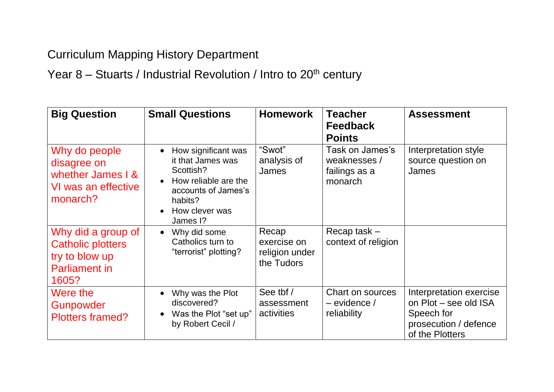## Curriculum Mapping History Department

Year  $8 -$  Stuarts / Industrial Revolution / Intro to  $20<sup>th</sup>$  century

| <b>Big Question</b>                                                                               | <b>Small Questions</b>                                                                                                                        | <b>Homework</b>                                      | <b>Teacher</b><br><b>Feedback</b><br><b>Points</b>          | <b>Assessment</b>                                                                                          |
|---------------------------------------------------------------------------------------------------|-----------------------------------------------------------------------------------------------------------------------------------------------|------------------------------------------------------|-------------------------------------------------------------|------------------------------------------------------------------------------------------------------------|
| Why do people<br>disagree on<br>whether James I &<br>VI was an effective<br>monarch?              | How significant was<br>it that James was<br>Scottish?<br>How reliable are the<br>accounts of James's<br>habits?<br>How clever was<br>James I? | "Swot"<br>analysis of<br>James                       | Task on James's<br>weaknesses /<br>failings as a<br>monarch | Interpretation style<br>source question on<br><b>James</b>                                                 |
| Why did a group of<br><b>Catholic plotters</b><br>try to blow up<br><b>Parliament in</b><br>1605? | Why did some<br>Catholics turn to<br>"terrorist" plotting?                                                                                    | Recap<br>exercise on<br>religion under<br>the Tudors | Recap task $-$<br>context of religion                       |                                                                                                            |
| Were the<br>Gunpowder<br><b>Plotters framed?</b>                                                  | Why was the Plot<br>discovered?<br>Was the Plot "set up"<br>by Robert Cecil /                                                                 | See tbf /<br>assessment<br>activities                | Chart on sources<br>$-$ evidence /<br>reliability           | Interpretation exercise<br>on Plot – see old ISA<br>Speech for<br>prosecution / defence<br>of the Plotters |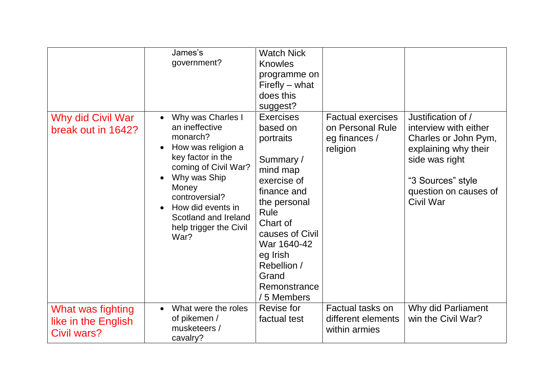|                                                         | James's<br>government?                                                                                                                                                                                                                                                 | <b>Watch Nick</b><br><b>Knowles</b><br>programme on<br>Firefly – what<br>does this<br>suggest?                                                                                                                                          |                                                                           |                                                                                                                                                                                 |
|---------------------------------------------------------|------------------------------------------------------------------------------------------------------------------------------------------------------------------------------------------------------------------------------------------------------------------------|-----------------------------------------------------------------------------------------------------------------------------------------------------------------------------------------------------------------------------------------|---------------------------------------------------------------------------|---------------------------------------------------------------------------------------------------------------------------------------------------------------------------------|
| Why did Civil War<br>break out in 1642?                 | Why was Charles I<br>$\bullet$<br>an ineffective<br>monarch?<br>How was religion a<br>$\bullet$<br>key factor in the<br>coming of Civil War?<br>Why was Ship<br>Money<br>controversial?<br>How did events in<br>Scotland and Ireland<br>help trigger the Civil<br>War? | <b>Exercises</b><br>based on<br>portraits<br>Summary /<br>mind map<br>exercise of<br>finance and<br>the personal<br>Rule<br>Chart of<br>causes of Civil<br>War 1640-42<br>eg Irish<br>Rebellion /<br>Grand<br>Remonstrance<br>5 Members | <b>Factual exercises</b><br>on Personal Rule<br>eg finances /<br>religion | Justification of /<br>interview with either<br>Charles or John Pym,<br>explaining why their<br>side was right<br>"3 Sources" style<br>question on causes of<br><b>Civil War</b> |
| What was fighting<br>like in the English<br>Civil wars? | What were the roles<br>of pikemen /<br>musketeers /<br>cavalry?                                                                                                                                                                                                        | Revise for<br>factual test                                                                                                                                                                                                              | Factual tasks on<br>different elements<br>within armies                   | Why did Parliament<br>win the Civil War?                                                                                                                                        |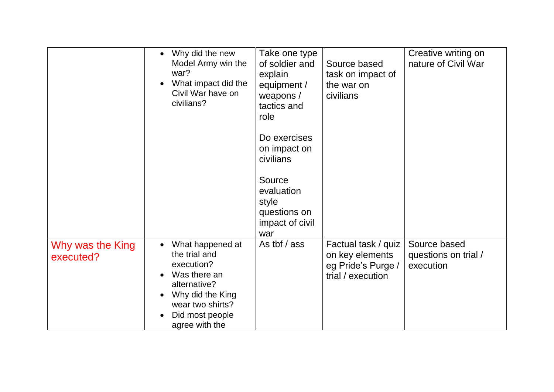|                               | Why did the new<br>$\bullet$<br>Model Army win the<br>war?<br>What impact did the<br>Civil War have on<br>civilians?                                                                   | Take one type<br>of soldier and<br>explain<br>equipment /<br>weapons $/$<br>tactics and<br>role | Source based<br>task on impact of<br>the war on<br>civilians                      | Creative writing on<br>nature of Civil War        |
|-------------------------------|----------------------------------------------------------------------------------------------------------------------------------------------------------------------------------------|-------------------------------------------------------------------------------------------------|-----------------------------------------------------------------------------------|---------------------------------------------------|
|                               |                                                                                                                                                                                        | Do exercises<br>on impact on<br>civilians                                                       |                                                                                   |                                                   |
|                               |                                                                                                                                                                                        | Source<br>evaluation<br>style<br>questions on<br>impact of civil<br>war                         |                                                                                   |                                                   |
| Why was the King<br>executed? | What happened at<br>$\bullet$<br>the trial and<br>execution?<br>Was there an<br>$\bullet$<br>alternative?<br>Why did the King<br>wear two shirts?<br>Did most people<br>agree with the | As tbf / ass                                                                                    | Factual task / quiz<br>on key elements<br>eg Pride's Purge /<br>trial / execution | Source based<br>questions on trial /<br>execution |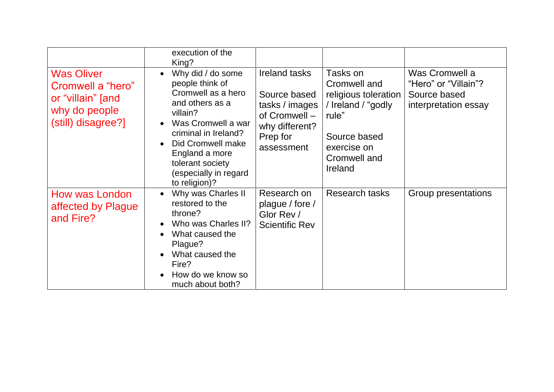|                                                                                                    | execution of the<br>King?                                                                                                                                                                                                                                 |                                                                                                                     |                                                                                                                                           |                                                                                |
|----------------------------------------------------------------------------------------------------|-----------------------------------------------------------------------------------------------------------------------------------------------------------------------------------------------------------------------------------------------------------|---------------------------------------------------------------------------------------------------------------------|-------------------------------------------------------------------------------------------------------------------------------------------|--------------------------------------------------------------------------------|
| <b>Was Oliver</b><br>Cromwell a "hero"<br>or "villain" [and<br>why do people<br>(still) disagree?] | Why did / do some<br>$\bullet$<br>people think of<br>Cromwell as a hero<br>and others as a<br>villain?<br>Was Cromwell a war<br>criminal in Ireland?<br>Did Cromwell make<br>England a more<br>tolerant society<br>(especially in regard<br>to religion)? | <b>Ireland tasks</b><br>Source based<br>tasks / images<br>of Cromwell -<br>why different?<br>Prep for<br>assessment | Tasks on<br>Cromwell and<br>religious toleration<br>/ Ireland / "godly<br>rule"<br>Source based<br>exercise on<br>Cromwell and<br>Ireland | Was Cromwell a<br>"Hero" or "Villain"?<br>Source based<br>interpretation essay |
| How was London<br>affected by Plague<br>and Fire?                                                  | Why was Charles II<br>$\bullet$<br>restored to the<br>throne?<br>Who was Charles II?<br>What caused the<br>Plague?<br>What caused the<br>Fire?<br>How do we know so<br>much about both?                                                                   | Research on<br>plague / fore /<br>Glor Rev /<br><b>Scientific Rev</b>                                               | <b>Research tasks</b>                                                                                                                     | Group presentations                                                            |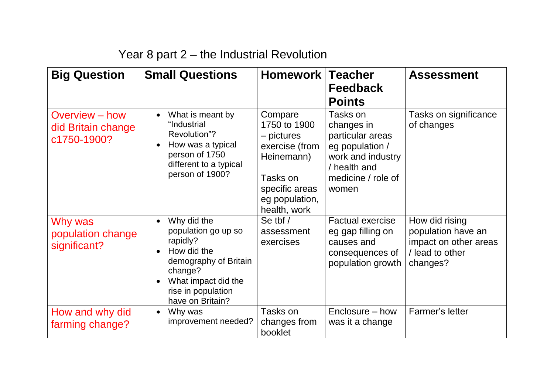| Year 8 part 2 – the Industrial Revolution |  |
|-------------------------------------------|--|
|-------------------------------------------|--|

| <b>Big Question</b>                                 | <b>Small Questions</b>                                                                                                                                             | Homework Teacher                                                                                                                      | <b>Feedback</b><br><b>Points</b>                                                                                                  | <b>Assessment</b>                                                                            |
|-----------------------------------------------------|--------------------------------------------------------------------------------------------------------------------------------------------------------------------|---------------------------------------------------------------------------------------------------------------------------------------|-----------------------------------------------------------------------------------------------------------------------------------|----------------------------------------------------------------------------------------------|
| Overview – how<br>did Britain change<br>c1750-1900? | What is meant by<br>"Industrial<br>Revolution"?<br>How was a typical<br>person of 1750<br>different to a typical<br>person of 1900?                                | Compare<br>1750 to 1900<br>– pictures<br>exercise (from<br>Heinemann)<br>Tasks on<br>specific areas<br>eg population,<br>health, work | Tasks on<br>changes in<br>particular areas<br>eg population /<br>work and industry<br>/ health and<br>medicine / role of<br>women | Tasks on significance<br>of changes                                                          |
| Why was<br>population change<br>significant?        | Why did the<br>population go up so<br>rapidly?<br>How did the<br>demography of Britain<br>change?<br>What impact did the<br>rise in population<br>have on Britain? | Se tbf $/$<br>assessment<br>exercises                                                                                                 | <b>Factual exercise</b><br>eg gap filling on<br>causes and<br>consequences of<br>population growth                                | How did rising<br>population have an<br>impact on other areas<br>/ lead to other<br>changes? |
| How and why did<br>farming change?                  | Why was<br>$\bullet$<br>improvement needed?                                                                                                                        | Tasks on<br>changes from<br>booklet                                                                                                   | Enclosure – how<br>was it a change                                                                                                | Farmer's letter                                                                              |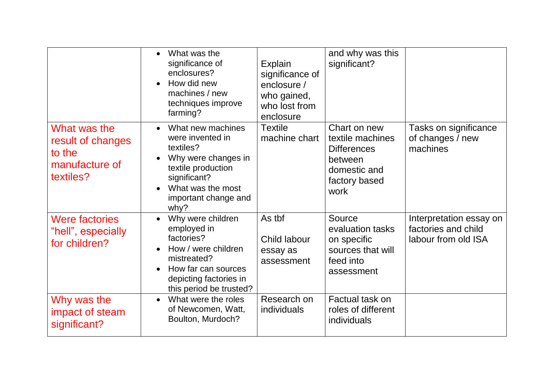|                                                                            | What was the<br>significance of<br>enclosures?<br>How did new<br>machines / new<br>techniques improve<br>farming?                                                             | Explain<br>significance of<br>enclosure /<br>who gained,<br>who lost from<br>enclosure | and why was this<br>significant?                                                                           |                                                                       |
|----------------------------------------------------------------------------|-------------------------------------------------------------------------------------------------------------------------------------------------------------------------------|----------------------------------------------------------------------------------------|------------------------------------------------------------------------------------------------------------|-----------------------------------------------------------------------|
| What was the<br>result of changes<br>to the<br>manufacture of<br>textiles? | What new machines<br>were invented in<br>textiles?<br>Why were changes in<br>textile production<br>significant?<br>What was the most<br>important change and<br>why?          | <b>Textile</b><br>machine chart                                                        | Chart on new<br>textile machines<br><b>Differences</b><br>between<br>domestic and<br>factory based<br>work | Tasks on significance<br>of changes / new<br>machines                 |
| <b>Were factories</b><br>"hell", especially<br>for children?               | Why were children<br>employed in<br>factories?<br>How / were children<br>mistreated?<br>How far can sources<br>$\bullet$<br>depicting factories in<br>this period be trusted? | As tbf<br>Child labour<br>essay as<br>assessment                                       | Source<br>evaluation tasks<br>on specific<br>sources that will<br>feed into<br>assessment                  | Interpretation essay on<br>factories and child<br>labour from old ISA |
| Why was the<br>impact of steam<br>significant?                             | What were the roles<br>of Newcomen, Watt,<br>Boulton, Murdoch?                                                                                                                | Research on<br>individuals                                                             | Factual task on<br>roles of different<br>individuals                                                       |                                                                       |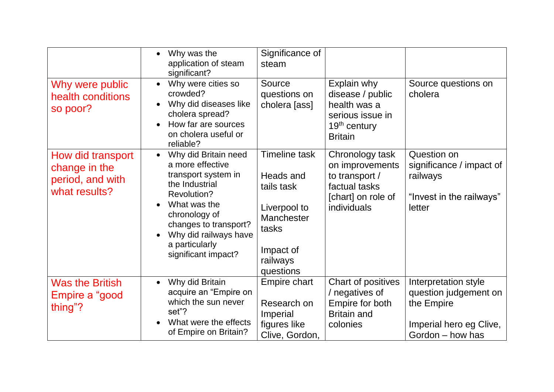|                                                                         | Why was the<br>application of steam<br>significant?                                                                                                                                                                                              | Significance of<br>steam                                                                                                     |                                                                                                            |                                                                                                            |
|-------------------------------------------------------------------------|--------------------------------------------------------------------------------------------------------------------------------------------------------------------------------------------------------------------------------------------------|------------------------------------------------------------------------------------------------------------------------------|------------------------------------------------------------------------------------------------------------|------------------------------------------------------------------------------------------------------------|
| Why were public<br>health conditions<br>so poor?                        | Why were cities so<br>crowded?<br>Why did diseases like<br>cholera spread?<br>How far are sources<br>on cholera useful or<br>reliable?                                                                                                           | Source<br>questions on<br>cholera [ass]                                                                                      | Explain why<br>disease / public<br>health was a<br>serious issue in<br>$19th$ century<br><b>Britain</b>    | Source questions on<br>cholera                                                                             |
| How did transport<br>change in the<br>period, and with<br>what results? | Why did Britain need<br>$\bullet$<br>a more effective<br>transport system in<br>the Industrial<br><b>Revolution?</b><br>What was the<br>chronology of<br>changes to transport?<br>Why did railways have<br>a particularly<br>significant impact? | <b>Timeline task</b><br>Heads and<br>tails task<br>Liverpool to<br>Manchester<br>tasks<br>Impact of<br>railways<br>questions | Chronology task<br>on improvements<br>to transport /<br>factual tasks<br>[chart] on role of<br>individuals | Question on<br>significance / impact of<br>railways<br>"Invest in the railways"<br>letter                  |
| <b>Was the British</b><br>Empire a "good<br>thing"?                     | Why did Britain<br>acquire an "Empire on<br>which the sun never<br>set"?<br>What were the effects<br>of Empire on Britain?                                                                                                                       | Empire chart<br>Research on<br>Imperial<br>figures like<br>Clive, Gordon,                                                    | Chart of positives<br>negatives of<br>Empire for both<br><b>Britain and</b><br>colonies                    | Interpretation style<br>question judgement on<br>the Empire<br>Imperial hero eg Clive,<br>Gordon - how has |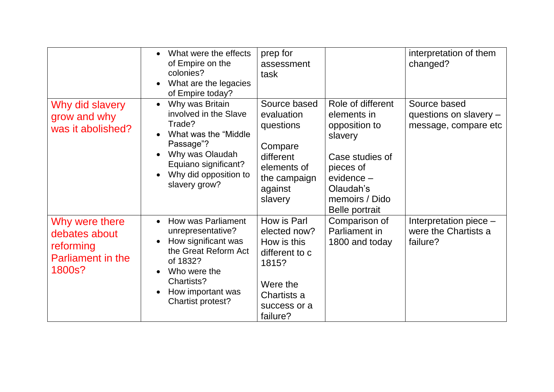|                                                                                    | What were the effects<br>of Empire on the<br>colonies?<br>What are the legacies<br>of Empire today?                                                                                        | prep for<br>assessment<br>task                                                                                               |                                                                                                                                                                  | interpretation of them<br>changed?                               |
|------------------------------------------------------------------------------------|--------------------------------------------------------------------------------------------------------------------------------------------------------------------------------------------|------------------------------------------------------------------------------------------------------------------------------|------------------------------------------------------------------------------------------------------------------------------------------------------------------|------------------------------------------------------------------|
| Why did slavery<br>grow and why<br>was it abolished?                               | Why was Britain<br>$\bullet$<br>involved in the Slave<br>Trade?<br>What was the "Middle"<br>Passage"?<br>Why was Olaudah<br>Equiano significant?<br>Why did opposition to<br>slavery grow? | Source based<br>evaluation<br>questions<br>Compare<br>different<br>elements of<br>the campaign<br>against<br>slavery         | Role of different<br>elements in<br>opposition to<br>slavery<br>Case studies of<br>pieces of<br>$e$ vidence $-$<br>Olaudah's<br>memoirs / Dido<br>Belle portrait | Source based<br>questions on slavery $-$<br>message, compare etc |
| Why were there<br>debates about<br>reforming<br><b>Parliament in the</b><br>1800s? | <b>How was Parliament</b><br>unrepresentative?<br>How significant was<br>the Great Reform Act<br>of 1832?<br>Who were the<br>Chartists?<br>How important was<br>Chartist protest?          | How is Parl<br>elected now?<br>How is this<br>different to c<br>1815?<br>Were the<br>Chartists a<br>success or a<br>failure? | Comparison of<br>Parliament in<br>1800 and today                                                                                                                 | Interpretation piece -<br>were the Chartists a<br>failure?       |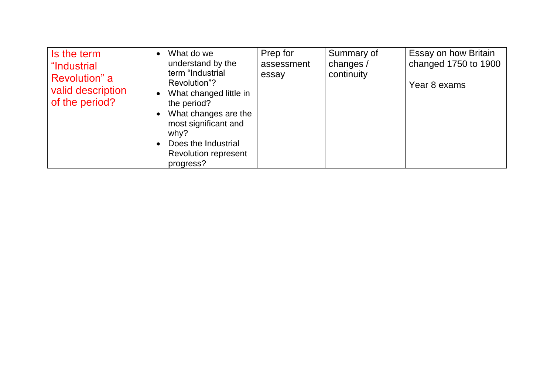| Is the term<br>"Industrial<br>Revolution" a | What do we<br>understand by the<br>term "Industrial                                                                                                                              | Prep for<br>assessment<br>essay | Summary of<br>changes /<br>continuity | Essay on how Britain<br>changed 1750 to 1900 |
|---------------------------------------------|----------------------------------------------------------------------------------------------------------------------------------------------------------------------------------|---------------------------------|---------------------------------------|----------------------------------------------|
| valid description<br>of the period?         | Revolution"?<br>What changed little in<br>the period?<br>What changes are the<br>most significant and<br>why?<br>Does the Industrial<br><b>Revolution represent</b><br>progress? |                                 |                                       | Year 8 exams                                 |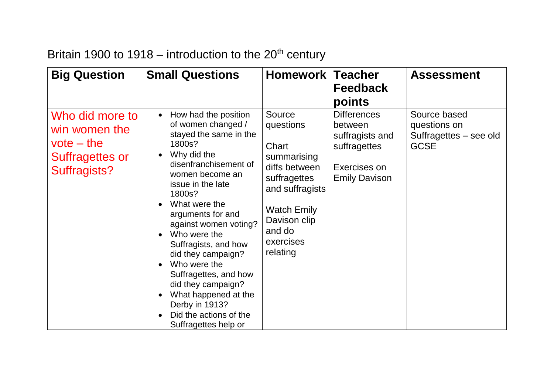| <b>Big Question</b>                                                                        | <b>Small Questions</b>                                                                                                                                                                                                                                                                                                                                                                                                                                                                                  | <b>Homework</b>                                                                                                                                                          | <b>Teacher</b><br><b>Feedback</b><br>points                                                              | <b>Assessment</b>                                                     |
|--------------------------------------------------------------------------------------------|---------------------------------------------------------------------------------------------------------------------------------------------------------------------------------------------------------------------------------------------------------------------------------------------------------------------------------------------------------------------------------------------------------------------------------------------------------------------------------------------------------|--------------------------------------------------------------------------------------------------------------------------------------------------------------------------|----------------------------------------------------------------------------------------------------------|-----------------------------------------------------------------------|
| Who did more to<br>win women the<br>$vote - the$<br>Suffragettes or<br><b>Suffragists?</b> | How had the position<br>$\bullet$<br>of women changed /<br>stayed the same in the<br>1800s?<br>Why did the<br>$\bullet$<br>disenfranchisement of<br>women become an<br>issue in the late<br>1800s?<br>What were the<br>arguments for and<br>against women voting?<br>Who were the<br>Suffragists, and how<br>did they campaign?<br>Who were the<br>$\bullet$<br>Suffragettes, and how<br>did they campaign?<br>What happened at the<br>Derby in 1913?<br>Did the actions of the<br>Suffragettes help or | Source<br>questions<br>Chart<br>summarising<br>diffs between<br>suffragettes<br>and suffragists<br><b>Watch Emily</b><br>Davison clip<br>and do<br>exercises<br>relating | <b>Differences</b><br>between<br>suffragists and<br>suffragettes<br>Exercises on<br><b>Emily Davison</b> | Source based<br>questions on<br>Suffragettes - see old<br><b>GCSE</b> |

## Britain 1900 to 1918 – introduction to the  $20<sup>th</sup>$  century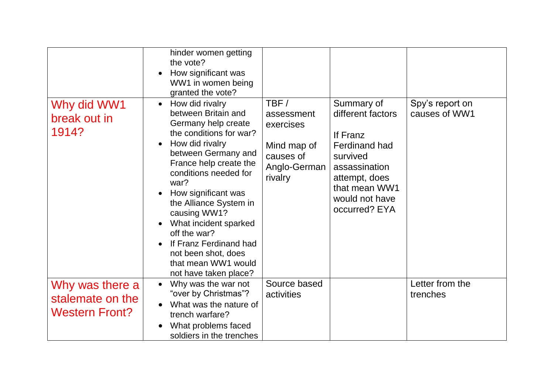|                                                              | hinder women getting<br>the vote?<br>How significant was<br>WW1 in women being<br>granted the vote?                                                                                                                                                                                                                                                                                                                                             |                                                                                        |                                                                                                                                                                       |                                  |
|--------------------------------------------------------------|-------------------------------------------------------------------------------------------------------------------------------------------------------------------------------------------------------------------------------------------------------------------------------------------------------------------------------------------------------------------------------------------------------------------------------------------------|----------------------------------------------------------------------------------------|-----------------------------------------------------------------------------------------------------------------------------------------------------------------------|----------------------------------|
| Why did WW1<br>break out in<br>1914?                         | How did rivalry<br>$\bullet$<br>between Britain and<br>Germany help create<br>the conditions for war?<br>How did rivalry<br>$\bullet$<br>between Germany and<br>France help create the<br>conditions needed for<br>war?<br>How significant was<br>$\bullet$<br>the Alliance System in<br>causing WW1?<br>What incident sparked<br>off the war?<br>If Franz Ferdinand had<br>not been shot, does<br>that mean WW1 would<br>not have taken place? | TBF/<br>assessment<br>exercises<br>Mind map of<br>causes of<br>Anglo-German<br>rivalry | Summary of<br>different factors<br>If Franz<br><b>Ferdinand had</b><br>survived<br>assassination<br>attempt, does<br>that mean WW1<br>would not have<br>occurred? EYA | Spy's report on<br>causes of WW1 |
| Why was there a<br>stalemate on the<br><b>Western Front?</b> | Why was the war not<br>$\bullet$<br>"over by Christmas"?<br>What was the nature of<br>$\bullet$<br>trench warfare?<br>What problems faced<br>soldiers in the trenches                                                                                                                                                                                                                                                                           | Source based<br>activities                                                             |                                                                                                                                                                       | Letter from the<br>trenches      |